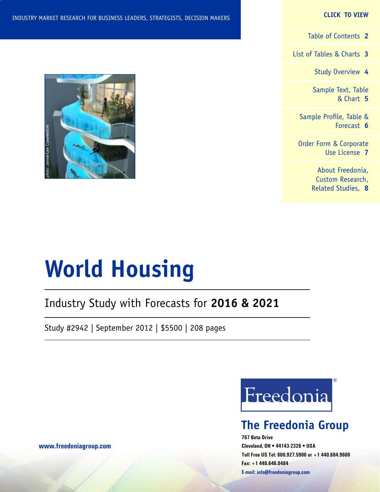#### **CLICK TO VIEW**

[Table of Contents](#page-1-0) **2**

[List of Tables & Charts](#page-2-0) **3**

[Study Overview](#page-3-0) **4**

[Sample Text, Table](#page-4-0) [& Chart](#page-4-0) **5**

[Sample Profile, Table &](#page-5-0) [Forecast](#page-5-0) **6**

[Order Form & Corporate](#page-6-0) [Use License](#page-6-0) **7**

> [About Freedonia,](#page-7-0) [Custom Research,](#page-7-0) [Related Studies,](#page-7-0) **8**



## Industry Study with Forecasts for **2016 & 2021**

Study #2942 | September 2012 | \$5500 | 208 pages



## **The Freedonia Group**

**767 Beta Drive Cleveland, OH • 44143-2326 • USA Toll Free US Tel: 800.927.5900 or +1 440.684.9600 Fax: +1 440.646.0484 E-mail: [info@freedoniagroup.com](mailto:info@freedoniagroup.com)**

**[www.freedoniagroup.com](http://www.freedoniagroup.com/Home.aspx?ReferrerId=FM-Bro)**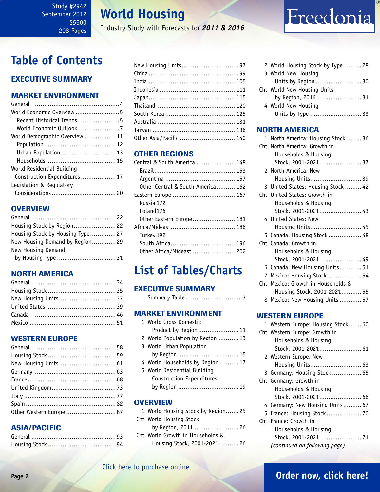## **World Housing**

Industry Study with Forecasts for *2011 & 2016*

## <span id="page-1-0"></span>**Table of Contents**

## Executive Summary

## Market EnvironmenT

| General                        |  |
|--------------------------------|--|
| World Economic Overview5       |  |
| Recent Historical Trends5      |  |
| World Economic Outlook7        |  |
| World Demographic Overview  11 |  |
|                                |  |
| Urban Population 13            |  |
|                                |  |
| World Residential Building     |  |
| Construction Expenditures 17   |  |
| Legislation & Regulatory       |  |
|                                |  |
|                                |  |

## **OVERVIEW**

| Housing Stock by Region 22       |  |
|----------------------------------|--|
| Housing Stock by Housing Type 27 |  |
| New Housing Demand by Region29   |  |
| New Housing Demand               |  |
| by Housing Type  31              |  |

## NORTH AMERICA

## WESTERN EUROPE

| Other Western Europe  87 |  |
|--------------------------|--|
|                          |  |

## ASIA/PACIFIC

| Other Asia/Pacific  140 |  |
|-------------------------|--|

## OTHER REGIONS

| Central & South America  148      |
|-----------------------------------|
|                                   |
|                                   |
| Other Central & South America 162 |
| Eastern Europe  167               |
|                                   |
|                                   |
| Other Eastern Europe 181          |
|                                   |
|                                   |
|                                   |
| Other Africa/Mideast  202         |
|                                   |

## **List of Tables/Charts**

## Executive Summary

|  |  | 1 Summary Table3 |  |
|--|--|------------------|--|
|--|--|------------------|--|

### Market EnvironmenT

| 1 World Gross Domestic           |
|----------------------------------|
| Product by Region  11            |
| 2 World Population by Region  13 |
| 3 World Urban Population         |
| by Region  15                    |
| 4 World Households by Region  17 |
| 5 World Residential Building     |
| Construction Expenditures        |
| by Region  19                    |
|                                  |

### **OVERVIEW**

| 1 World Housing Stock by Region25 |
|-----------------------------------|
| Cht World Housing Stock           |
| by Region, 2011  26               |
| Cht World Growth in Households &  |
| Housing Stock, 2001-2021 26       |
|                                   |

2 World Housing Stock by Type.......... 28 3 World New Housing Units by Region ......................... 30 Cht World New Housing Units by Region, 2016 ........................ 31 4 World New Housing Units by Type ............................ 33

Freedonia

### NORTH AMERICA

|   | 1 North America: Housing Stock  36 |
|---|------------------------------------|
|   | Cht North America: Growth in       |
|   | Households & Housing               |
|   | Stock, 2001-2021 37                |
|   | 2 North America: New               |
|   | Housing Units 39                   |
|   | 3 United States: Housing Stock  42 |
|   | Cht United States: Growth in       |
|   | Households & Housing               |
|   | Stock, 2001-2021 43                |
|   | 4 United States: New               |
|   | Housing Units 45                   |
|   | 5 Canada: Housing Stock  48        |
|   | Cht Canada: Growth in              |
|   | Households & Housing               |
|   | Stock, 2001-2021 49                |
|   | 6 Canada: New Housing Units 51     |
| 7 | Mexico: Housing Stock  54          |
|   | Cht Mexico: Growth in Households & |
|   | Housing Stock, 2001-2021 55        |
|   | 8 Mexico: New Housing Units  57    |
|   |                                    |

### WESTERN EUROPE

| 1 Western Europe: Housing Stock 60 |
|------------------------------------|
| Cht Western Europe: Growth in      |
| Households & Housing               |
|                                    |
| 2 Western Europe: New              |
| Housing Units 63                   |
| 3 Germany: Housing Stock 65        |
| Cht Germany: Growth in             |
| Households & Housing               |
|                                    |
| Stock, 2001-2021 66                |
| 4 Germany: New Housing Units 67    |
| 5 France: Housing Stock 70         |
| Cht France: Growth in              |
| Households & Housing               |
| Stock, 2001-202171                 |

## [Click here to purchase online](http://www.freedoniagroup.com/DocumentDetails.aspx?Referrerid=FM-Bro&StudyID=2942)

## **Page 2 [Order now, click here!](#page-6-0)**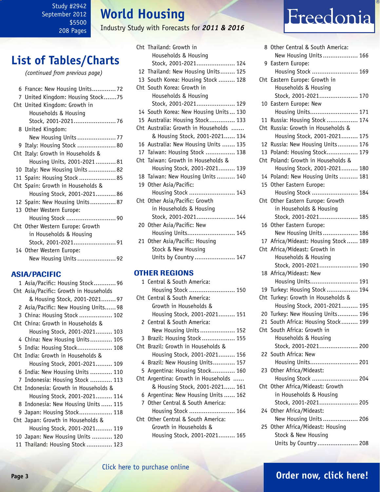## **World Housing**

Industry Study with Forecasts for *2011 & 2016*

<span id="page-2-0"></span>

|  |  | <b>List of Tables/Charts</b> |
|--|--|------------------------------|
|--|--|------------------------------|

*(continued from previous page)*

| 6 France: New Housing Units 72    |
|-----------------------------------|
| 7 United Kingdom: Housing Stock75 |
| Cht United Kingdom: Growth in     |
| Households & Housing              |
| Stock, 2001-202176                |
| 8 United Kingdom:                 |
| New Housing Units  77             |
| 9 Italy: Housing Stock  80        |
| Cht Italy: Growth in Households & |
| Housing Units, 2001-202181        |
| 10 Italy: New Housing Units  82   |
| 11 Spain: Housing Stock  85       |
| Cht Spain: Growth in Households & |
| Housing Stock, 2001-202186        |
| 12 Spain: New Housing Units87     |
| 13 Other Western Europe:          |
| Housing Stock 90                  |
| Cht Other Western Europe: Growth  |
| in Households & Housing           |
| Stock, 2001-202191                |
| 14 Other Western Europe:          |
| New Housing Units  92             |

### ASIA/PACIFIC

| 1 Asia/Pacific: Housing Stock 96       |
|----------------------------------------|
| Cht Asia/Pacific: Growth in Households |
| & Housing Stock, 2001-2021 97          |
| 2 Asia/Pacific: New Housing Units 98   |
| 3 China: Housing Stock  102            |
| Cht China: Growth in Households &      |
| Housing Stock, 2001-2021 103           |
| 4 China: New Housing Units 105         |
| 5 India: Housing Stock 108             |
| Cht India: Growth in Households &      |
| Housing Stock, 2001-2021 109           |
| 6 India: New Housing Units  110        |
| 7 Indonesia: Housing Stock  113        |
| Cht Indonesia: Growth in Households &  |
| Housing Stock, 2001-2021 114           |
| 8 Indonesia: New Housing Units  115    |
| 9 Japan: Housing Stock 118             |
| Cht Japan: Growth in Households &      |
| Housing Stock, 2001-2021 119           |
| 10 Japan: New Housing Units  120       |
| 11 Thailand: Housing Stock  123        |

| Cht Thailand: Growth in               |
|---------------------------------------|
| Households & Housing                  |
| Stock, 2001-2021 124                  |
| 12 Thailand: New Housing Units 125    |
| 13 South Korea: Housing Stock  128    |
| Cht South Korea: Growth in            |
| Households & Housing                  |
| Stock, 2001-2021 129                  |
| 14 South Korea: New Housing Units 130 |
| 15 Australia: Housing Stock 133       |
| Cht Australia: Growth in Households   |
| & Housing Stock, 2001-2021 134        |
| 16 Australia: New Housing Units  135  |
| 17 Taiwan: Housing Stock  138         |
| Cht Taiwan: Growth in Households &    |
| Housing Stock, 2001-2021 139          |
| 18 Taiwan: New Housing Units  140     |
| 19 Other Asia/Pacific:                |
| Housing Stock  143                    |
| Cht Other Asia/Pacific: Growth        |
| in Households & Housing               |
| Stock, 2001-2021 144                  |
| 20 Other Asia/Pacific: New            |
| Housing Units 145                     |
| 21 Other Asia/Pacific: Housing        |
| Stock & New Housing                   |
| Units by Country  147                 |
| <b>OTHER REGIONS</b>                  |
| 1 Central & South America:            |

### Housing Stock ......................... 150 Cht Central & South America: Growth in Households & Housing Stock, 2001-2021......... 151 2 Central & South America: New Housing Units................... 152 3 Brazil: Housing Stock .................. 155 Cht Brazil: Growth in Households & Housing Stock, 2001-2021......... 156 4 Brazil: New Housing Units............ 157 5 Argentina: Housing Stock............. 160 Cht Argentina: Growth in Households ...... & Housing Stock, 2001-2021...... 161 6 Argentina: New Housing Units ...... 162 7 Other Central & South America: Housing Stock ......................... 164 Cht Other Central & South America: Growth in Households & Housing Stock, 2001-2021......... 165

# Freedonia

| 8  | Other Central & South America:                                      |
|----|---------------------------------------------------------------------|
|    | New Housing Units 166                                               |
| 9  | Eastern Europe:                                                     |
|    | Housing Stock  169                                                  |
|    | Cht Eastern Europe: Growth in                                       |
|    | Households & Housing                                                |
|    | Stock, 2001-2021 170                                                |
|    | 10 Eastern Europe: New                                              |
|    | Housing Units 171                                                   |
| 11 | Russia: Housing Stock  174                                          |
|    | Cht Russia: Growth in Households &                                  |
|    | Housing Stock, 2001-2021 175                                        |
|    | 12 Russia: New Housing Units 176                                    |
|    | 13 Poland: Housing Stock 179                                        |
|    | Cht Poland: Growth in Households &                                  |
|    | Housing Stock, 2001-2021 180                                        |
|    | 14 Poland: New Housing Units  181                                   |
|    | 15 Other Eastern Europe:                                            |
|    | Housing Stock  184                                                  |
|    | Cht Other Eastern Europe: Growth                                    |
|    | in Households & Housing                                             |
|    | Stock, 2001-2021 185                                                |
|    | 16 Other Eastern Europe:                                            |
|    | New Housing Units 186                                               |
|    | 17 Africa/Mideast: Housing Stock 189                                |
|    |                                                                     |
|    |                                                                     |
|    | Cht Africa/Mideast: Growth in<br>Households & Housing               |
|    | Stock, 2001-2021 190                                                |
|    |                                                                     |
|    | 18 Africa/Mideast: New<br>Housing Units 191                         |
|    |                                                                     |
|    | 19 Turkey: Housing Stock  194<br>Cht Turkey: Growth in Households & |
|    | Housing Stock, 2001-2021 195                                        |
|    | 20 Turkey: New Housing Units 196                                    |
|    | 21 South Africa: Housing Stock 199                                  |
|    | Cht South Africa: Growth in                                         |
|    | Households & Housing                                                |
|    | Stock, 2001-2021 200                                                |
|    | 22 South Africa: New                                                |
|    | Housing Units 201                                                   |
|    | 23 Other Africa/Mideast:                                            |
|    | Housing Stock  204                                                  |
|    | Cht Other Africa/Mideast: Growth                                    |
|    | in Households & Housing                                             |
|    | Stock, 2001-2021 205                                                |
|    | 24 Other Africa/Mideast:                                            |
|    | New Housing Units  206                                              |
|    | 25 Other Africa/Mideast: Housing                                    |
|    | Stock & New Housing                                                 |

#### [Click here to purchase online](http://www.freedoniagroup.com/DocumentDetails.aspx?Referrerid=FM-Bro&StudyID=2942)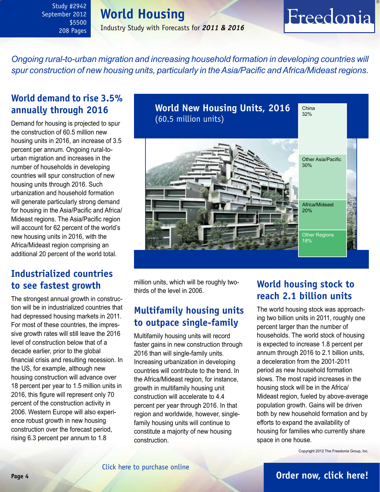## **World Housing**

Industry Study with Forecasts for *2011 & 2016*

## <span id="page-3-0"></span>*Ongoing rural-to-urban migration and increasing household formation in developing countries will spur construction of new housing units, particularly in the Asia/Pacific and Africa/Mideast regions.*

## **World demand to rise 3.5% annually through 2016**

Demand for housing is projected to spur the construction of 60.5 million new housing units in 2016, an increase of 3.5 percent per annum. Ongoing rural-tourban migration and increases in the number of households in developing countries will spur construction of new housing units through 2016. Such urbanization and household formation will generate particularly strong demand for housing in the Asia/Pacific and Africa/ Mideast regions. The Asia/Pacific region will account for 62 percent of the world's new housing units in 2016, with the Africa/Mideast region comprising an additional 20 percent of the world total.

## **Industrialized countries to see fastest growth**

The strongest annual growth in construction will be in industrialized countries that had depressed housing markets in 2011. For most of these countries, the impressive growth rates will still leave the 2016 level of construction below that of a decade earlier, prior to the global financial crisis and resulting recession. In the US, for example, although new housing construction will advance over 18 percent per year to 1.5 million units in 2016, this figure will represent only 70 percent of the construction activity in 2006. Western Europe will also experience robust growth in new housing construction over the forecast period, rising 6.3 percent per annum to 1.8



million units, which will be roughly twothirds of the level in 2006.

## **Multifamily housing units to outpace single-family**

Multifamily housing units will record faster gains in new construction through 2016 than will single-family units. Increasing urbanization in developing countries will contribute to the trend. In the Africa/Mideast region, for instance, growth in multifamily housing unit construction will accelerate to 4.4 percent per year through 2016. In that region and worldwide, however, singlefamily housing units will continue to constitute a majority of new housing construction.

## **World housing stock to reach 2.1 billion units**

Freedonia

The world housing stock was approaching two billion units in 2011, roughly one percent larger than the number of households. The world stock of housing is expected to increase 1.8 percent per annum through 2016 to 2.1 billion units, a deceleration from the 2001-2011 period as new household formation slows. The most rapid increases in the housing stock will be in the Africa/ Mideast region, fueled by above-average population growth. Gains will be driven both by new household formation and by efforts to expand the availability of housing for families who currently share space in one house.

Copyright 2012 The Freedonia Group, Inc.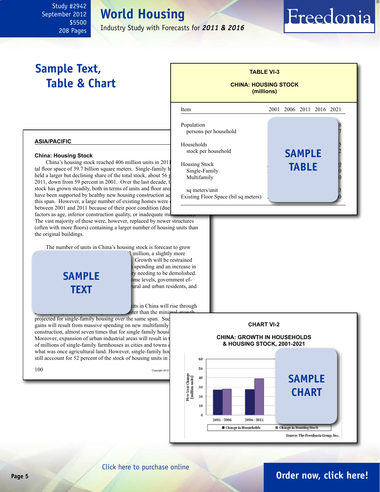**World Housing**

Industry Study with Forecasts for *2011 & 2016*

l

Population

Households

persons per household

stock per household

Single-Family Multifamily

sq meters/unit

Existing Floor Space (bil sq meters)

## <span id="page-4-0"></span>**Sample Text, Table & Chart**

## **TABLE VI-3 CHINA: HOUSING STOCK (millions)**

**sample**

Freedonia

Item 2001 2006 2011 2016 2021

Housing Stock<br>
3ingle-Family **TABLE** 

## **China: Housing Stock**

**asia/pacific**

China's housing stock reached 406 million units in  $2011$  Housing Stock tal floor space of 39.7 billion square meters. Single-family h held a larger but declining share of the total stock, about  $56$  p 2011, down from 59 percent in 2001. Over the last decade, the housing from the housing of the housing of the housing of the housing of the housing of the housing of the housing of the housing of the housing of the housing stock has grown steadily, both in terms of units and floor area. have been supported by healthy new housing construction ac this span. However, a large number of existing homes were between 2001 and 2011 because of their poor condition (due factors as age, inferior construction quality, or inadequate ma

The vast majority of these were, however, replaced by newer structures (often with more floors) containing a larger number of housing units than the original buildings.

The number of units in China's housing stock is forecast to grow

population and household growth. **text sample**

? million, a slightly more Growth will be restrained spending and an increase in ty needing to be demolished. ome levels, government effural and urban residents, and

hits in China will rise through **1ster than the minimal** 

projected for single-family housing over the same span. Such gains will result from massive spending on new multifamily construction, almost seven times that for single family housing Moreover, expansion of urban industrial areas will result in of millions of single-family farmhouses as cities and towns of what was once agricultural land. However, single-family house still acccount for 52 percent of the stock of housing units in 2016.



## **Page 5 [Order now, click here!](#page-6-0)**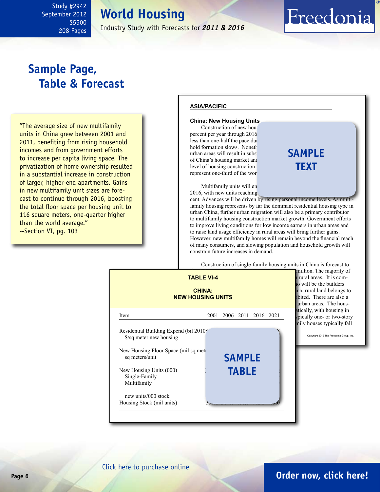**World Housing** Industry Study with Forecasts for *2011 & 2016*

## <span id="page-5-0"></span>**Sample Page, Table & Forecast**

"The average size of new multifamily units in China grew between 2001 and 2011, benefiting from rising household incomes and from government efforts to increase per capita living space. The privatization of home ownership resulted in a substantial increase in construction of larger, higher-end apartments. Gains in new multifamily unit sizes are forecast to continue through 2016, boosting the total floor space per housing unit to 116 square meters, one-quarter higher than the world average." --Section VI, pg. 103

#### **asia/pacific**

#### **China: New Housing Units**

Construction of new housing percent per year through 2016 less than one-half the pace during the 2011 percent as  $\frac{1}{2}$ hold formation slows. Noneth urban areas will result in subs. of China's housing market and level of housing construction : represent one-third of the wor

## **sample text**

Freedonia

Multifamily units will en  $2016$ , with new units reaching

cent. Advances will be driven by rising personal income levels. As multifamily housing represents by far the dominant residential housing type in urban China, further urban migration will also be a primary contributor to multifamily housing construction market growth. Government efforts to improve living conditions for low income earners in urban areas and to raise land usage efficiency in rural areas will bring further gains. However, new multifamily homes will remain beyond the financial reach of many consumers, and slowing population and household growth will constrain future increases in demand.

Construction of single-family housing units in China is forecast to



## **Page 6 [Order now, click here!](#page-6-0)**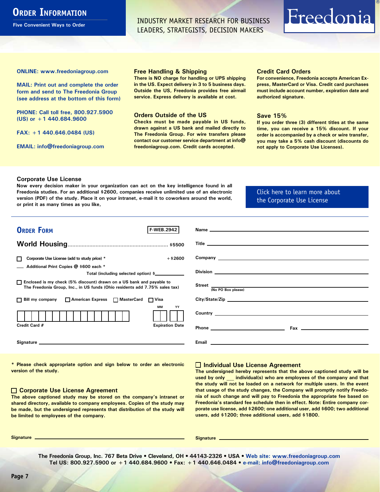## <span id="page-6-0"></span>**ORDER INFORMATION**

**Five Convenient Ways to Order**

INDUSTRY MARKET RESEARCH FOR BUSINESS LEADERS, STRATEGISTS, DECISION MAKERS

# Freedonia

**ONLINE: [www.freedoniagroup.com](http://www.freedoniagroup.com/DocumentDetails.aspx?Referrerid=FM-Bro&StudyID=2942)**

**MAIL: Print out and complete the order form and send to The Freedonia Group (see address at the bottom of this form)**

**PHONE: Call toll free, 800.927.5900 (US) or +1 440.684.9600**

**FAX: +1 440.646.0484 (US)**

**EMAIL: [info@freedoniagroup.com](mailto:info@freedoniagroup.com)**

#### **Free Handling & Shipping**

**There is NO charge for handling or UPS shipping in the US. Expect delivery in 3 to 5 business days. Outside the US, Freedonia provides free airmail service. Express delivery is available at cost.**

#### **Orders Outside of the US**

**Checks must be made payable in US funds, drawn against a US bank and mailed directly to The Freedonia Group. For wire transfers please contact our customer service department at info@ freedoniagroup.com. Credit cards accepted.**

#### **Credit Card Orders**

**For convenience, Freedonia accepts American Express, MasterCard or Visa. Credit card purchases must include account number, expiration date and authorized signature.**

#### **Save 15%**

**If you order three (3) different titles at the same time, you can receive a 15% discount. If your order is accompanied by a check or wire transfer, you may take a 5% cash discount (discounts do not apply to Corporate Use Licenses).**

#### **Corporate Use License**

**Now every decision maker in your organization can act on the key intelligence found in all Freedonia studies. For an additional \$2600, companies receive unlimited use of an electronic version (PDF) of the study. Place it on your intranet, e-mail it to coworkers around the world, or print it as many times as you like,** 

#### [Click here to learn more about](http://www.freedoniagroup.com/pdf/FreedoniaCULBro.pdf)  [the Corporate Use License](http://www.freedoniagroup.com/pdf/FreedoniaCULBro.pdf)

| <b>ORDER FORM</b><br><b>F-WEB.2942</b>                                                                                                                                                                                         |                                                                                                                                                                                                                                    |
|--------------------------------------------------------------------------------------------------------------------------------------------------------------------------------------------------------------------------------|------------------------------------------------------------------------------------------------------------------------------------------------------------------------------------------------------------------------------------|
|                                                                                                                                                                                                                                |                                                                                                                                                                                                                                    |
|                                                                                                                                                                                                                                |                                                                                                                                                                                                                                    |
|                                                                                                                                                                                                                                |                                                                                                                                                                                                                                    |
| Corporate Use License (add to study price) *<br>$+$ \$2600                                                                                                                                                                     | Company <u>example and the company</u> and the company of the company of the company of the company of the company of the company of the company of the company of the company of the company of the company of the company of the |
| Additional Print Copies @ \$600 each *                                                                                                                                                                                         |                                                                                                                                                                                                                                    |
| Total (including selected option) \$____________                                                                                                                                                                               |                                                                                                                                                                                                                                    |
| □ Enclosed is my check (5% discount) drawn on a US bank and payable to<br>The Freedonia Group, Inc., in US funds (Ohio residents add 7.75% sales tax)                                                                          | Street $\frac{1}{(No PO Box please)}$                                                                                                                                                                                              |
|                                                                                                                                                                                                                                |                                                                                                                                                                                                                                    |
| □ Bill my company □ American Express □ MasterCard □ Visa                                                                                                                                                                       |                                                                                                                                                                                                                                    |
| <b>MM</b><br>YY                                                                                                                                                                                                                |                                                                                                                                                                                                                                    |
|                                                                                                                                                                                                                                |                                                                                                                                                                                                                                    |
| <b>Expiration Date</b><br>Credit Card #                                                                                                                                                                                        |                                                                                                                                                                                                                                    |
|                                                                                                                                                                                                                                |                                                                                                                                                                                                                                    |
| Signature experience and the state of the state of the state of the state of the state of the state of the state of the state of the state of the state of the state of the state of the state of the state of the state of th |                                                                                                                                                                                                                                    |
|                                                                                                                                                                                                                                |                                                                                                                                                                                                                                    |

**\* Please check appropriate option and sign below to order an electronic version of the study.**

#### **Corporate Use License Agreement**

**The above captioned study may be stored on the company's intranet or shared directory, available to company employees. Copies of the study may be made, but the undersigned represents that distribution of the study will be limited to employees of the company.**

#### **Individual Use License Agreement**

**The undersigned hereby represents that the above captioned study will be used by only \_\_\_ individual(s) who are employees of the company and that the study will not be loaded on a network for multiple users. In the event that usage of the study changes, the Company will promptly notify Freedonia of such change and will pay to Freedonia the appropriate fee based on Freedonia's standard fee schedule then in effect. Note: Entire company corporate use license, add \$2600; one additional user, add \$600; two additional users, add \$1200; three additional users, add \$1800.**

**Signature Signature**

**The Freedonia Group, Inc. 767 Beta Drive • Cleveland, OH • 44143-2326 • USA • [Web site: www.freedoniagroup.com](http://www.freedoniagroup.com/Home.aspx?ReferrerId=FM-Bro) Tel US: 800.927.5900 or +1 440.684.9600 • Fax: +1 440.646.0484 • [e-mail: info@freedoniagroup.com](mailto:info@freedoniagroup.com)**